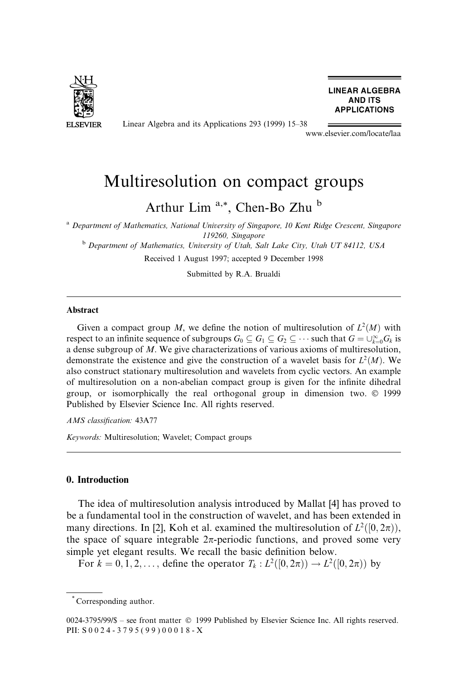

Linear Algebra and its Applications 293 (1999) 15-38

**LINEAR ALGEBRA AND ITS APPLICATIONS** 

www.elsevier.com/locate/laa

# Multiresolution on compact groups

Arthur Lim<sup>a,\*</sup>, Chen-Bo Zhu<sup>b</sup>

<sup>a</sup> Department of Mathematics, National University of Singapore, 10 Kent Ridge Crescent, Singapore 119260, Singapore<br><sup>b</sup> Department of Mathematics, University of Utah, Salt Lake City, Utah UT 84112, USA

Received 1 August 1997; accepted 9 December 1998

Submitted by R.A. Brualdi

#### Abstract

Given a compact group M, we define the notion of multiresolution of  $L^2(M)$  with respect to an infinite sequence of subgroups  $G_0 \subseteq G_1 \subseteq G_2 \subseteq \cdots$  such that  $G = \bigcup_{k=0}^{\infty} G_k$  is a dense subgroup of M. We give characterizations of various axioms of multiresolution, demonstrate the existence and give the construction of a wavelet basis for  $L^2(M)$ . We also construct stationary multiresolution and wavelets from cyclic vectors. An example of multiresolution on a non-abelian compact group is given for the infinite dihedral group, or isomorphically the real orthogonal group in dimension two.  $\odot$  1999 Published by Elsevier Science Inc. All rights reserved.

AMS classification: 43A77

Keywords: Multiresolution; Wavelet; Compact groups

#### 0. Introduction

The idea of multiresolution analysis introduced by Mallat [4] has proved to be a fundamental tool in the construction of wavelet, and has been extended in many directions. In [2], Koh et al. examined the multiresolution of  $L^2([0, 2\pi))$ , the space of square integrable  $2\pi$ -periodic functions, and proved some very simple yet elegant results. We recall the basic definition below.

For  $k = 0, 1, 2, \ldots$ , define the operator  $T_k : L^2([0, 2\pi)) \to L^2([0, 2\pi))$  by

<sup>\*</sup> Corresponding author.

<sup>0024-3795/99/\$ -</sup> see front matter © 1999 Published by Elsevier Science Inc. All rights reserved. PII: S 0 0 2 4 - 3 7 9 5 ( 9 9 ) 0 0 0 1 8 - X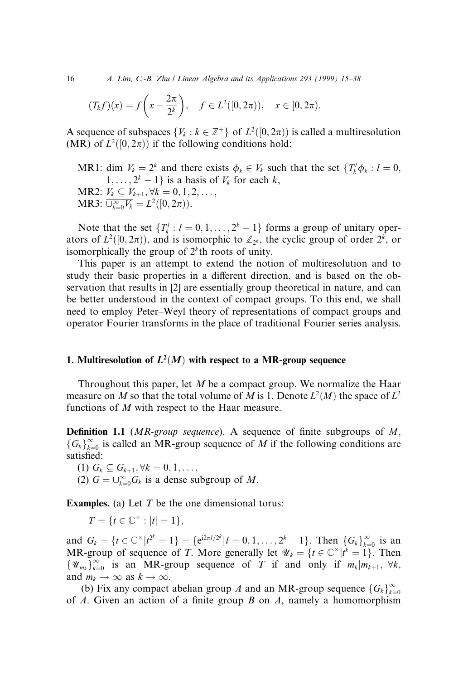16 A. Lim, C.-B. Zhu / Linear Algebra and its Applications 293 (1999) 15 $-38$ 

$$
(T_k f)(x) = f\left(x - \frac{2\pi}{2^k}\right), \quad f \in L^2([0, 2\pi)), \quad x \in [0, 2\pi).
$$

A sequence of subspaces  $\{V_k : k \in \mathbb{Z}^+\}$  of  $L^2([0, 2\pi))$  is called a multiresolution (MR) of  $L^2([0, 2\pi))$  if the following conditions hold:

MR1: dim  $V_k = 2^k$  and there exists  $\phi_k \in V_k$  such that the set  $\{T_k^l \phi_k : l = 0,$  $1, \ldots, 2^k - 1$  is a basis of  $V_k$  for each k, MR2:  $V_k \subseteq V_{k+1}, \forall k = 0, 1, 2, \ldots,$ MR3:  $\overline{\cup_{k=0}^{\infty} V_k} = L^2([0, 2\pi)).$ 

Note that the set  $\{T_k^l : l = 0, 1, \ldots, 2^k - 1\}$  forms a group of unitary operators of  $L^2([0, 2\pi))$ , and is isomorphic to  $\mathbb{Z}_{2^k}$ , the cyclic group of order  $2^k$ , or isomorphically the group of  $2<sup>k</sup>$ th roots of unity.

This paper is an attempt to extend the notion of multiresolution and to study their basic properties in a different direction, and is based on the observation that results in [2] are essentially group theoretical in nature, and can be better understood in the context of compact groups. To this end, we shall need to employ Peter–Weyl theory of representations of compact groups and operator Fourier transforms in the place of traditional Fourier series analysis.

# 1. Multiresolution of  $L^2(M)$  with respect to a MR-group sequence

Throughout this paper, let  $M$  be a compact group. We normalize the Haar measure on M so that the total volume of M is 1. Denote  $L^2(M)$  the space of  $L^2$ functions of M with respect to the Haar measure.

**Definition 1.1** (*MR-group sequence*). A sequence of finite subgroups of  $M$ ,  ${G_k}_{k=0}^{\infty}$  is called an MR-group sequence of M if the following conditions are satisfied:

(1)  $G_k \subseteq G_{k+1}, \forall k = 0, 1, ...,$ 

(2)  $G = \bigcup_{k=0}^{\infty} G_k$  is a dense subgroup of M.

**Examples.** (a) Let  $T$  be the one dimensional torus:

$$
T = \{t \in \mathbb{C}^\times : |t| = 1\},\
$$

and  $G_k = \{t \in \mathbb{C}^\times | t^{2^k} = 1 \} = \{ e^{i2\pi l/2^k} | l = 0, 1, ..., 2^k - 1 \}$ . Then  $\{G_k\}_{k=0}^\infty$  is an MR-group of sequence of T. More generally let  $\mathcal{U}_k = \{t \in \mathbb{C}^\times | t^k = 1\}$ . Then  $\{\mathscr{U}_{m_k}\}_{k=0}^{\infty}$  is an MR-group sequence of T if and only if  $m_k | m_{k+1}, \forall k$ , and  $m_k \to \infty$  as  $k \to \infty$ .

(b) Fix any compact abelian group A and an MR-group sequence  $\{G_k\}_{k=0}^{\infty}$ of A. Given an action of a finite group B on A, namely a homomorphism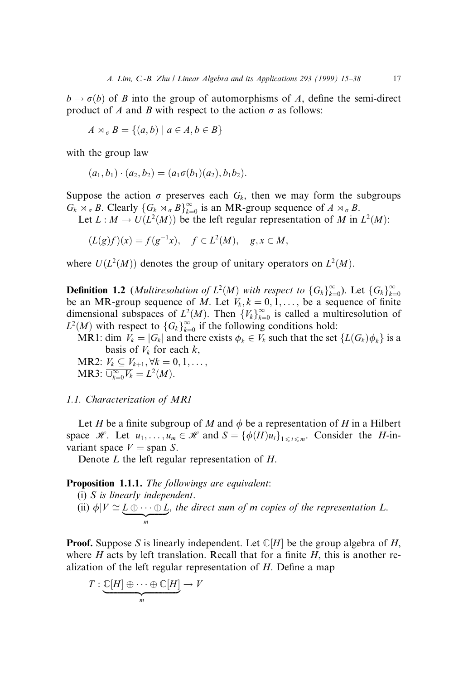$b \rightarrow \sigma(b)$  of B into the group of automorphisms of A, define the semi-direct product of A and B with respect to the action  $\sigma$  as follows:

$$
A \rtimes_{\sigma} B = \{(a, b) \mid a \in A, b \in B\}
$$

with the group law

$$
(a_1, b_1) \cdot (a_2, b_2) = (a_1 \sigma(b_1)(a_2), b_1 b_2).
$$

Suppose the action  $\sigma$  preserves each  $G_k$ , then we may form the subgroups  $G_k \rtimes_{\sigma} B$ . Clearly  $\{G_k \rtimes_{\sigma} B\}_{k=0}^{\infty}$  is an MR-group sequence of  $A \rtimes_{\sigma} B$ .

Let  $L : M \to U(L^2(M))$  be the left regular representation of M in  $L^2(M)$ :

$$
(L(g)f)(x) = f(g^{-1}x), \quad f \in L^2(M), \quad g, x \in M,
$$

where  $U(L<sup>2</sup>(M))$  denotes the group of unitary operators on  $L<sup>2</sup>(M)$ .

**Definition 1.2** (*Multiresolution of*  $L^2(M)$  with respect to  $\{G_k\}_{k=0}^{\infty}$ ). Let  $\{G_k\}_{k=0}^{\infty}$ be an MR-group sequence of M. Let  $V_k$ ,  $k = 0, 1, \ldots$ , be a sequence of finite dimensional subspaces of  $L^2(M)$ . Then  $\{V_k\}_{k=0}^{\infty}$  is called a multiresolution of  $L^2(M)$  with respect to  ${G_k}_{k=0}^{\infty}$  if the following conditions hold:

MR1: dim  $V_k = |G_k|$  and there exists  $\phi_k \in V_k$  such that the set  $\{L(G_k) \phi_k\}$  is a basis of  $V_k$  for each  $k$ ,

MR2:  $V_k \subseteq V_{k+1}, \forall k = 0, 1, \ldots,$ MR3:  $\overline{\cup_{k=0}^{\infty} V_k} = L^2(M)$ .

1.1. Characterization of MR1

Let H be a finite subgroup of M and  $\phi$  be a representation of H in a Hilbert space H. Let  $u_1, \ldots, u_m \in \mathcal{H}$  and  $S = {\phi(H)u_i}_{1 \le i \le m}$ . Consider the H-invariant space  $V =$  span S.

Denote L the left regular representation of H.

Proposition 1.1.1. The followings are equivalent:

\n- (i) *S* is linearly independent.
\n- (ii) 
$$
\phi|V \cong \underbrace{L \oplus \cdots \oplus L}_{m}
$$
, the direct sum of *m* copies of the representation *L*.
\n

**Proof.** Suppose S is linearly independent. Let  $\mathbb{C}[H]$  be the group algebra of H, where H acts by left translation. Recall that for a finite  $H$ , this is another realization of the left regular representation of  $H$ . Define a map

$$
T:\underbrace{\mathbb{C}[H]\oplus\cdots\oplus\mathbb{C}[H]}_{m}\to V
$$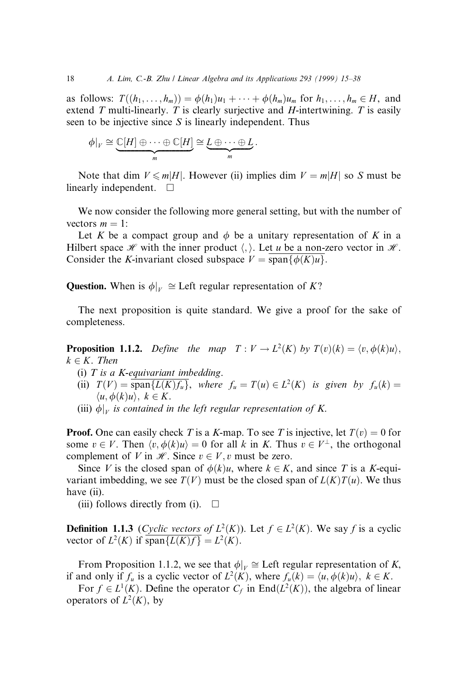as follows:  $T((h_1, \ldots, h_m)) = \phi(h_1)u_1 + \cdots + \phi(h_m)u_m$  for  $h_1, \ldots, h_m \in H$ , and extend T multi-linearly. T is clearly surjective and H-intertwining. T is easily seen to be injective since S is linearly independent. Thus

$$
\phi|_V \cong \underbrace{\mathbb{C}[H] \oplus \cdots \oplus \mathbb{C}[H]}_{m} \cong \underbrace{L \oplus \cdots \oplus L}_{m}.
$$

Note that dim  $V \le m|H|$ . However (ii) implies dim  $V = m|H|$  so S must be linearly independent.  $\square$ 

We now consider the following more general setting, but with the number of vectors  $m = 1$ :

Let K be a compact group and  $\phi$  be a unitary representation of K in a Hilbert space  $\mathcal H$  with the inner product  $\langle \cdot \rangle$ . Let u be a non-zero vector in  $\mathcal H$ . Consider the K-invariant closed subspace  $V = \text{span}\{\phi(K)u\}.$ 

**Question.** When is  $\phi|_V \cong$  Left regular representation of K?

The next proposition is quite standard. We give a proof for the sake of completeness.

**Proposition 1.1.2.** Define the map  $T: V \to L^2(K)$  by  $T(v)(k) = \langle v, \phi(k)u \rangle$ ,  $k \in K$ . Then

- (i)  $T$  is a K-equivariant imbedding.
- (ii)  $T(V) = \overline{\text{span}\{L(K)f_u\}},$  where  $f_u = T(u) \in L^2(K)$  is given by  $f_u(k) =$  $\langle u, \phi(k)u \rangle, k \in K.$
- (iii)  $\phi|_{_V}$  is contained in the left regular representation of K.

**Proof.** One can easily check T is a K-map. To see T is injective, let  $T(v) = 0$  for some  $v \in V$ . Then  $\langle v, \phi(k)u \rangle = 0$  for all k in K. Thus  $v \in V^{\perp}$ , the orthogonal complement of V in  $\mathcal{H}$ . Since  $v \in V$ , v must be zero.

Since V is the closed span of  $\phi(k)u$ , where  $k \in K$ , and since T is a K-equivariant imbedding, we see  $T(V)$  must be the closed span of  $L(K)T(u)$ . We thus have (ii).

(iii) follows directly from (i).  $\Box$ 

**Definition 1.1.3** (Cyclic vectors of  $L^2(K)$ ). Let  $f \in L^2(K)$ . We say f is a cyclic vector of  $L^2(K)$  if span $\{L(K)f\} = L^2(K)$ .

From Proposition 1.1.2, we see that  $\phi|_V \cong$  Left regular representation of K, if and only if  $f_u$  is a cyclic vector of  $L^2(K)$ , where  $f_u(k) = \langle u, \phi(k)u \rangle$ ,  $k \in K$ .

For  $f \in L^1(K)$ . Define the operator  $C_f$  in End $(L^2(K))$ , the algebra of linear operators of  $L^2(K)$ , by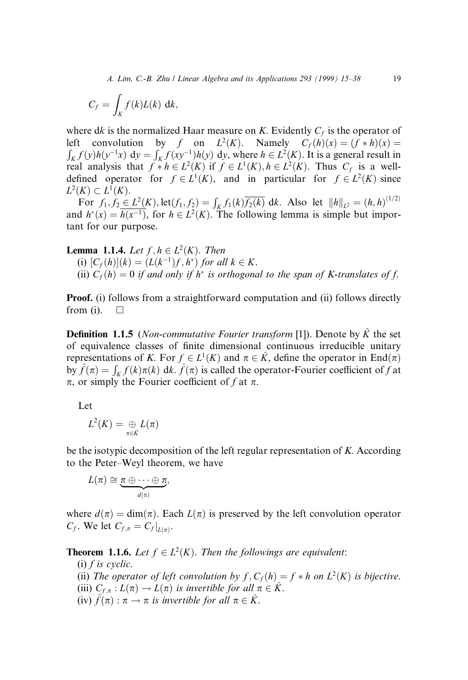A. Lim, C.-B. Zhu / Linear Algebra and its Applications 293 (1999) 15–38 19

$$
C_f = \int_K f(k)L(k) \, \mathrm{d}k,
$$

where dk is the normalized Haar measure on K. Evidently  $C_f$  is the operator of left convolution by f on  $L^2(K)$ . Namely  $C_f(h)(x) = (f * h)(x) =$  $\int_K f(y)h(y^{-1}x) dy = \int_K f(xy^{-1})h(y) dy$ , where  $h \in L^2(K)$ . It is a general result in real analysis that  $f * h \in L^2(K)$  if  $f \in L^1(K)$ ,  $h \in L^2(K)$ . Thus  $C_f$  is a welldefined operator for  $f \in L^1(K)$ , and in particular for  $f \in L^2(K)$  since  $L^2(K) \subset L^1(K)$ .

For  $f_1, f_2 \in L^2(K)$ , let $(f_1, f_2) = \int_K f_1(k) \overline{f_2(k)}$  dk. Also let  $||h||_{L^2} = (h, h)^{(1/2)}$ and  $h^*(x) = \overline{h(x^{-1})}$ , for  $h \in L^2(K)$ . The following lemma is simple but important for our purpose.

**Lemma 1.1.4.** Let  $f, h \in L^2(K)$ . Then

(i)  $[C_f(h)](k) = (L(k^{-1})f, h^*)$  for all  $k \in K$ .

(ii)  $C_f(h) = 0$  if and only if  $h^*$  is orthogonal to the span of K-translates of f.

**Proof.** (i) follows from a straightforward computation and (ii) follows directly from (i).  $\Box$ 

**Definition 1.1.5** (Non-commutative Fourier transform [1]). Denote by  $\hat{K}$  the set of equivalence classes of finite dimensional continuous irreducible unitary representations of K. For  $f \in L^1(K)$  and  $\pi \in \hat{K}$ , define the operator in End $(\pi)$ by  $\hat{f}(\pi) = \int_K f(k)\pi(k)$  dk.  $\hat{f}(\pi)$  is called the operator-Fourier coefficient of f at  $\pi$ , or simply the Fourier coefficient of f at  $\pi$ .

Let

$$
L^2(K)=\underset{\pi\in\hat{K}}{\oplus}L(\pi)
$$

be the isotypic decomposition of the left regular representation of K. According to the Peter–Weyl theorem, we have

$$
L(\pi) \cong \underbrace{\pi \oplus \cdots \oplus \pi}_{d(\pi)},
$$

where  $d(\pi) = \dim(\pi)$ . Each  $L(\pi)$  is preserved by the left convolution operator  $C_f$ . We let  $C_{f,\pi} = C_f |_{L(\pi)}$ .

**Theorem 1.1.6.** Let  $f \in L^2(K)$ . Then the followings are equivalent:

- $(i)$  f is cyclic.
- (ii) The operator of left convolution by  $f, C_f(h) = f * h$  on  $L^2(K)$  is bijective.
- (iii)  $C_{f,\pi}: L(\pi) \to L(\pi)$  is invertible for all  $\pi \in \hat{K}$ .
- (iv)  $\hat{f}(\pi) : \pi \to \pi$  is invertible for all  $\pi \in \hat{K}$ .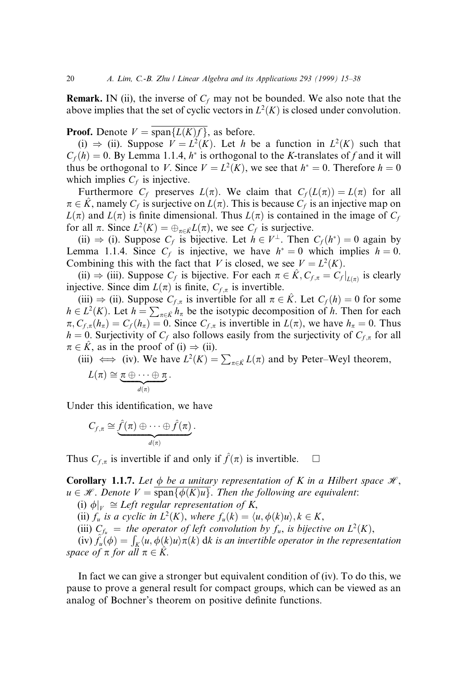**Remark.** IN (ii), the inverse of  $C_f$  may not be bounded. We also note that the above implies that the set of cyclic vectors in  $L^2(K)$  is closed under convolution.

**Proof.** Denote  $V = \text{span}\{L(K)f\}$ , as before.

(i)  $\Rightarrow$  (ii). Suppose  $V = L^2(K)$ . Let h be a function in  $L^2(K)$  such that  $C_f(h) = 0$ . By Lemma 1.1.4,  $h^*$  is orthogonal to the K-translates of f and it will thus be orthogonal to V. Since  $V = L^2(K)$ , we see that  $h^* = 0$ . Therefore  $h = 0$ which implies  $C_f$  is injective.

Furthermore  $C_f$  preserves  $L(\pi)$ . We claim that  $C_f(L(\pi)) = L(\pi)$  for all  $\pi \in \hat{K}$ , namely  $C_f$  is surjective on  $L(\pi)$ . This is because  $C_f$  is an injective map on  $L(\pi)$  and  $L(\pi)$  is finite dimensional. Thus  $L(\pi)$  is contained in the image of  $C_f$ for all  $\pi$ . Since  $L^2(K) = \bigoplus_{\pi \in \hat{K}} L(\pi)$ , we see  $C_f$  is surjective.

(ii)  $\Rightarrow$  (i). Suppose C<sub>f</sub> is bijective. Let  $h \in V^{\perp}$ . Then  $C_f(h^*) = 0$  again by Lemma 1.1.4. Since  $C_f$  is injective, we have  $h^* = 0$  which implies  $h = 0$ . Combining this with the fact that V is closed, we see  $V = L<sup>2</sup>(K)$ .

(ii)  $\Rightarrow$  (iii). Suppose  $C_f$  is bijective. For each  $\pi \in K$ ,  $C_{f,\pi} = C_f |_{L(\pi)}$  is clearly injective. Since dim  $L(\pi)$  is finite,  $C_{f,\pi}$  is invertible.

(iii)  $\Rightarrow$  (ii). Suppose  $C_{f,\pi}$  is invertible for all  $\pi \in \hat{K}$ . Let  $C_f (h) = 0$  for some  $h \in L^2(K)$ . Let  $h = \sum_{\pi \in \hat{K}} h_{\pi}$  be the isotypic decomposition of h. Then for each  $\pi$ ,  $C_{f,\pi} (h_{\pi}) = C_f (h_{\pi}) = 0$ . Since  $C_{f,\pi}$  is invertible in  $L(\pi)$ , we have  $h_{\pi} = 0$ . Thus  $h = 0$ . Surjectivity of  $C_f$  also follows easily from the surjectivity of  $C_{f,\pi}$  for all  $\pi \in \hat{K}$ , as in the proof of (i)  $\Rightarrow$  (ii).

(iii)  $\iff$  (iv). We have  $L^2(K) = \sum_{\pi \in \hat{K}} L(\pi)$  and by Peter–Weyl theorem,

$$
L(\pi) \cong \underbrace{\pi \oplus \cdots \oplus \pi}_{d(\pi)}.
$$

Under this identification, we have

$$
C_{f,\pi} \cong \underbrace{\hat{f}(\pi) \oplus \cdots \oplus \hat{f}(\pi)}_{d(\pi)}.
$$

Thus  $C_{f,\pi}$  is invertible if and only if  $\hat{f}(\pi)$  is invertible.  $\Box$ 

**Corollary 1.1.7.** Let  $\phi$  be a unitary representation of K in a Hilbert space  $\mathcal{H}$ ,  $u \in \mathcal{H}$ . Denote  $V = \text{span}\{\phi(K)u\}$ . Then the following are equivalent:

(i)  $\phi|_{V} \cong Left$  regular representation of K,

(ii)  $f_u$  is a cyclic in  $L^2(K)$ , where  $f_u(k) = \langle u, \phi(k)u \rangle, k \in K$ ,

(iii)  $C_{f_u}$  = the operator of left convolution by  $f_u$ , is bijective on  $L^2(K)$ ,

(iv)  $\hat{f}_u(\phi) = \int_K \langle u, \phi(k)u \rangle \pi(k)$  dk is an invertible operator in the representation space of  $\pi$  for all  $\pi \in \hat{K}$ .

In fact we can give a stronger but equivalent condition of (iv). To do this, we pause to prove a general result for compact groups, which can be viewed as an analog of Bochner's theorem on positive definite functions.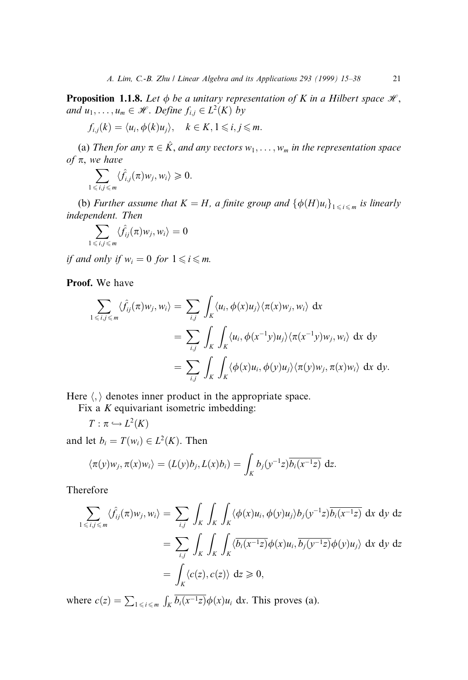**Proposition 1.1.8.** Let  $\phi$  be a unitary representation of K in a Hilbert space  $\mathcal{H}$ , and  $u_1, \ldots, u_m \in \mathcal{H}$ . Define  $f_{i,j} \in L^2(K)$  by

$$
f_{i,j}(k) = \langle u_i, \phi(k)u_j \rangle, \quad k \in K, 1 \leq i, j \leq m.
$$

(a) Then for any  $\pi \in \hat{K}$ , and any vectors  $w_1, \ldots, w_m$  in the representation space of  $\pi$ , we have

$$
\sum_{1\leq i,j\leqslant m}\langle \hat{f}_{i,j}(\pi)w_j,w_i\rangle\geqslant 0.
$$

(b) Further assume that  $K = H$ , a finite group and  $\{\phi(H)u_i\}_{1 \le i \le m}$  is linearly independent. Then

$$
\sum_{1\leq i,j\leqslant m}\langle \hat{f}_{ij}(\pi)w_j,w_i\rangle=0
$$

if and only if  $w_i = 0$  for  $1 \leq i \leq m$ .

Proof. We have

$$
\sum_{1 \le i,j \le m} \langle \hat{f}_{ij}(\pi) w_j, w_i \rangle = \sum_{i,j} \int_K \langle u_i, \phi(x) u_j \rangle \langle \pi(x) w_j, w_i \rangle \, dx
$$
\n
$$
= \sum_{i,j} \int_K \int_K \langle u_i, \phi(x^{-1}y) u_j \rangle \langle \pi(x^{-1}y) w_j, w_i \rangle \, dx \, dy
$$
\n
$$
= \sum_{i,j} \int_K \int_K \langle \phi(x) u_i, \phi(y) u_j \rangle \langle \pi(y) w_j, \pi(x) w_i \rangle \, dx \, dy.
$$

Here  $\langle \cdot \rangle$  denotes inner product in the appropriate space.

Fix a  $K$  equivariant isometric imbedding:

 $T: \pi \hookrightarrow L^2(K)$ 

and let  $b_i = T(w_i) \in L^2(K)$ . Then

$$
\langle \pi(y)w_j, \pi(x)w_i \rangle = (L(y)b_j, L(x)b_i) = \int_K b_j(y^{-1}z) \overline{b_i(x^{-1}z)} \, dz.
$$

Therefore

$$
\sum_{1 \le i,j \le m} \langle \hat{f}_{ij}(\pi) w_j, w_i \rangle = \sum_{i,j} \int_K \int_K \int_K \langle \phi(x) u_i, \phi(y) u_j \rangle b_j(y^{-1}z) \overline{b_i(x^{-1}z)} \, dx \, dy \, dz
$$
\n
$$
= \sum_{i,j} \int_K \int_K \int_K \langle \overline{b_i(x^{-1}z)} \phi(x) u_i, \overline{b_j(y^{-1}z)} \phi(y) u_j \rangle \, dx \, dy \, dz
$$
\n
$$
= \int_K \langle c(z), c(z) \rangle \, dz \ge 0,
$$

where  $c(z) = \sum_{1 \le i \le m} \int_K b_i(x^{-1}z) \phi(x) u_i dx$ . This proves (a).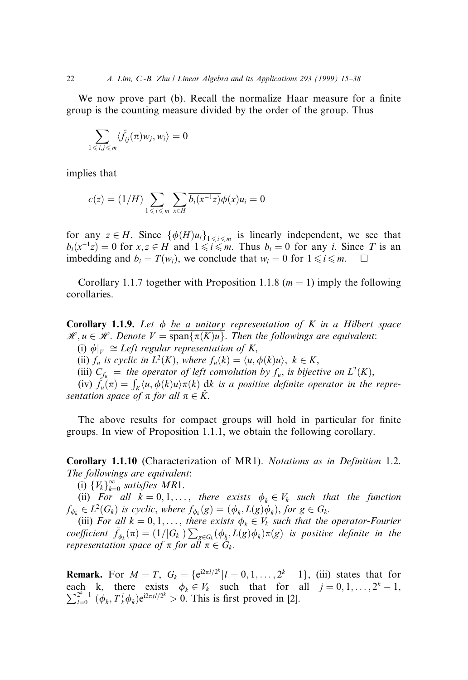We now prove part (b). Recall the normalize Haar measure for a finite group is the counting measure divided by the order of the group. Thus

$$
\sum_{1\leq i,j\leq m}\langle \hat{f}_{ij}(\pi)w_j,w_i\rangle=0
$$

implies that

$$
c(z) = (1/H) \sum_{1 \leq i \leq m} \sum_{x \in H} \overline{b_i(x^{-1}z)} \phi(x) u_i = 0
$$

for any  $z \in H$ . Since  $\{\phi(H)u_i\}_{1 \le i \le m}$  is linearly independent, we see that  $b_i(x^{-1}z) = 0$  for  $x, z \in H$  and  $1 \leq i \leq m$ . Thus  $b_i = 0$  for any i. Since T is an imbedding and  $b_i = T(w_i)$ , we conclude that  $w_i = 0$  for  $1 \leq i \leq m$ .  $\Box$ 

Corollary 1.1.7 together with Proposition 1.1.8 ( $m = 1$ ) imply the following corollaries.

Corollary 1.1.9. Let  $\phi$  be a unitary representation of K in a Hilbert space  $\mathcal{H}, u \in \mathcal{H}$ . Denote  $V = \text{span}\{\pi(K)u\}$ . Then the followings are equivalent:

(i)  $\phi|_{V} \cong$  Left regular representation of K,

(ii)  $f_u$  is cyclic in  $L^2(K)$ , where  $f_u(k) = \langle u, \phi(k)u \rangle$ ,  $k \in K$ ,

(iii)  $C_{f_u}$  = the operator of left convolution by  $f_u$ , is bijective on  $L^2(K)$ ,

(iv)  $\hat{f}_u(\pi) = \int_K \langle u, \phi(k)u \rangle \pi(k)$  dk is a positive definite operator in the representation space of  $\pi$  for all  $\pi \in \hat{K}$ .

The above results for compact groups will hold in particular for finite groups. In view of Proposition 1.1.1, we obtain the following corollary.

Corollary 1.1.10 (Characterization of MR1). Notations as in Definition 1.2. The followings are equivalent:

(i)  ${V_k}_{k=0}^{\infty}$  satisfies MR1.

(ii) For all  $k = 0, 1, \ldots$ , there exists  $\phi_k \in V_k$  such that the function  $f_{\phi_k} \in L^2(G_k)$  is cyclic, where  $f_{\phi_k}(g) = (\phi_k, L(g)\phi_k)$ , for  $g \in G_k$ .

(iii) For all  $k = 0, 1, \ldots$ , there exists  $\phi_k \in V_k$  such that the operator-Fourier coefficient  $\hat{f}_{\phi_k}(\pi) = (1/|G_k|) \sum_{g \in G_k} (\phi_k, L(g)\phi_k)\pi(g)$  is positive definite in the representation space of  $\pi$  for all  $\pi \in G_k$ .

**Remark.** For  $M = T$ ,  $G_k = \{e^{i2\pi l/2^k} | l = 0, 1, ..., 2^k - 1\}$ , (iii) states that for each k, there exists  $\phi_k \in V_k$  such that for all  $j = 0, 1, ..., 2^k - 1$ ,  $\sum_{l=0}^{2^{k}-1} (\phi_{k}, T_{k}^{l} \phi_{k}) e^{i2\pi j l/2^{k}} > 0$ . This is first proved in [2].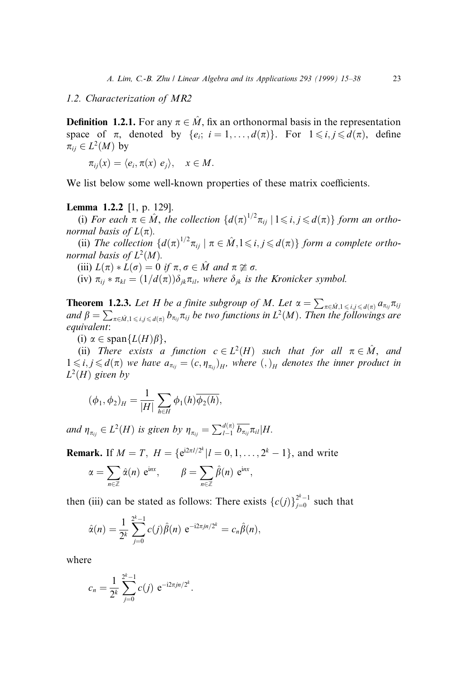#### 1.2. Characterization of MR2

**Definition 1.2.1.** For any  $\pi \in \hat{M}$ , fix an orthonormal basis in the representation space of  $\pi$ , denoted by  $\{e_i; i = 1, ..., d(\pi)\}\$ . For  $1 \leq i, j \leq d(\pi)$ , define  $\pi_{ii} \in L^2(M)$  by

$$
\pi_{ij}(x) = \langle e_i, \pi(x) \, e_j \rangle, \quad x \in M.
$$

We list below some well-known properties of these matrix coefficients.

## Lemma 1.2.2 [1, p. 129].

(i) For each  $\pi \in \hat{M}$ , the collection  $\{d(\pi)^{1/2}\pi_{ij} \mid 1 \leq i,j \leq d(\pi)\}\$  form an orthonormal basis of  $L(\pi)$ .

(ii) The collection  $\{d(\pi)^{1/2}\pi_{ij} \mid \pi \in \hat{M}, 1 \leq i, j \leq d(\pi)\}\)$  form a complete orthonormal basis of  $L^2(M)$ .

(iii)  $L(\pi) * L(\sigma) = 0$  if  $\pi, \sigma \in M$  and  $\pi \not\cong \sigma$ .

(iv)  $\pi_{ij} * \pi_{kl} = (1/d(\pi))\delta_{ik}\pi_{il}$ , where  $\delta_{ik}$  is the Kronicker symbol.

**Theorem 1.2.3.** Let H be a finite subgroup of M. Let  $\alpha = \sum_{\pi \in \hat{M}, 1 \leq i,j \leq d(\pi)} a_{\pi_{ij}} \pi_{ij}$ and  $\beta = \sum_{\pi \in \hat{M},1 \leqslant i,j \leqslant d(\pi)} b_{\pi_{ij}} \pi_{ij}$  be two functions in  $L^2(M)$ . Then the followings are equivalent:

(i)  $\alpha \in \text{span}\{L(H)\beta\},\$ 

(ii) There exists a function  $c \in L^2(H)$  such that for all  $\pi \in \hat{M}$ , and  $1 \leq i,j \leq d(\pi)$  we have  $a_{\pi_{ij}} = (c, \eta_{\pi_{ij}})_{H}$ , where  $(,)_{H}$  denotes the inner product in  $L^2(H)$  given by

$$
(\phi_1, \phi_2)_H = \frac{1}{|H|} \sum_{h \in H} \phi_1(h) \overline{\phi_2(h)},
$$

and  $\eta_{\pi_{ij}} \in L^2(H)$  is given by  $\eta_{\pi_{ij}} = \sum_{l=1}^{d(\pi)} \overline{b_{\pi_{ij}}} \pi_{il} | H$ .

**Remark.** If  $M = T$ ,  $H = \{e^{i2\pi l/2^{k}} | l = 0, 1, ..., 2^{k} - 1\}$ , and write  $\alpha = \sum$ n2Z  $\hat{\alpha}(n)$  e<sup>inx</sup>,  $\beta = \sum$ n2Z  $\hat{\beta}(n)$  e<sup>inx</sup>,

then (iii) can be stated as follows: There exists  $\{c(j)\}_{j=0}^{2^k-1}$  such that

$$
\hat{\alpha}(n) = \frac{1}{2^k} \sum_{j=0}^{2^k-1} c(j) \hat{\beta}(n) e^{-i2\pi j n/2^k} = c_n \hat{\beta}(n),
$$

where

$$
c_n = \frac{1}{2^k} \sum_{j=0}^{2^k - 1} c(j) e^{-i2\pi j n/2^k}.
$$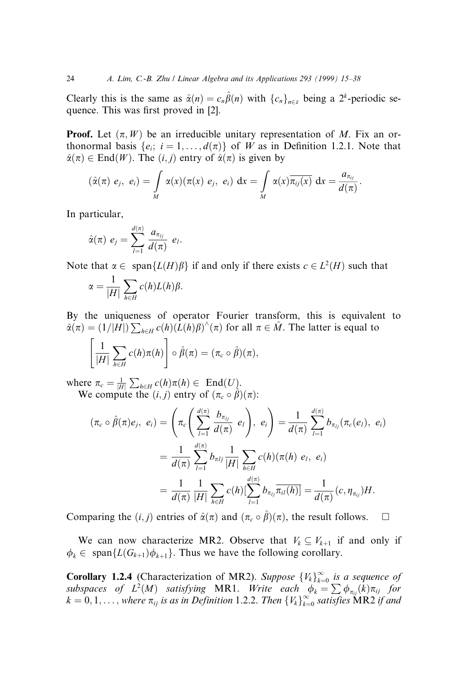Clearly this is the same as  $\hat{\alpha}(n) = c_n \hat{\beta}(n)$  with  $\{c_n\}_{n \in \mathbb{Z}}$  being a  $2^k$ -periodic sequence. This was first proved in [2].

**Proof.** Let  $(\pi, W)$  be an irreducible unitary representation of M. Fix an orthonormal basis  $\{e_i; i = 1, \ldots, d(\pi)\}\$  of W as in Definition 1.2.1. Note that  $\hat{\alpha}(\pi) \in \text{End}(W)$ . The  $(i, j)$  entry of  $\hat{\alpha}(\pi)$  is given by

$$
(\hat{\alpha}(\pi) e_j, e_i) = \int_M \alpha(x) (\pi(x) e_j, e_i) dx = \int_M \alpha(x) \overline{\pi_{ij}(x)} dx = \frac{a_{\pi_{ij}}}{d(\pi)}.
$$

In particular,

$$
\hat{\alpha}(\pi) e_j = \sum_{l=1}^{d(\pi)} \frac{a_{\pi_{lj}}}{d(\pi)} e_l.
$$

Note that  $\alpha \in \text{span}\{L(H)\beta\}$  if and only if there exists  $c \in L^2(H)$  such that

$$
\alpha = \frac{1}{|H|} \sum_{h \in H} c(h) L(h) \beta.
$$

By the uniqueness of operator Fourier transform, this is equivalent to  $\hat{\alpha}(\pi) = (1/|H|) \sum_{h \in H} c(h) (\bar{L}(h)\beta)^{\wedge}(\pi)$  for all  $\pi \in \hat{M}$ . The latter is equal to

$$
\left[\frac{1}{|H|}\sum_{h\in H}c(h)\pi(h)\right]\circ\hat{\beta}(\pi)=(\pi_c\circ\hat{\beta})(\pi),
$$

where  $\pi_c = \frac{1}{|H|} \sum_{h \in H} c(h) \pi(h) \in \text{End}(U)$ . We compute the  $(i, j)$  entry of  $(\pi_c \circ \hat{\beta})(\pi)$ :

$$
(\pi_c \circ \hat{\beta}(\pi)e_j, e_i) = \left(\pi_c \left(\sum_{l=1}^{d(\pi)} \frac{b_{\pi_{lj}}}{d(\pi)} e_l\right), e_i\right) = \frac{1}{d(\pi)} \sum_{l=1}^{d(\pi)} b_{\pi_{lj}}(\pi_c(e_l), e_i)
$$
  

$$
= \frac{1}{d(\pi)} \sum_{l=1}^{d(\pi)} b_{\pi_{lj}} \frac{1}{|H|} \sum_{h \in H} c(h)(\pi(h) e_l, e_i)
$$
  

$$
= \frac{1}{d(\pi)} \frac{1}{|H|} \sum_{h \in H} c(h) \left(\sum_{l=1}^{d(\pi)} b_{\pi_{lj}} \overline{\pi_{il}(h)}\right) = \frac{1}{d(\pi)} (c, \eta_{\pi_{lj}}) H.
$$

Comparing the  $(i, j)$  entries of  $\hat{\alpha}(\pi)$  and  $(\pi_c \circ \hat{\beta})(\pi)$ , the result follows.  $\square$ 

We can now characterize MR2. Observe that  $V_k \subseteq V_{k+1}$  if and only if  $\phi_k \in \text{span}\{L(G_{k+1})\phi_{k+1}\}.$  Thus we have the following corollary.

**Corollary 1.2.4** (Characterization of MR2). Suppose  ${V_k}_{k=0}^{\infty}$  is a sequence of subspaces of  $L^2(M)$  satisfying MR1. Write each  $\phi_k = \sum \phi_{\pi_{ij}}(k) \pi_{ij}$  for  $k = 0, 1, \ldots$ , where  $\pi_{ij}$  is as in Definition 1.2.2. Then  $\{V_k\}_{k=0}^{\infty}$  satisfies MR2 if and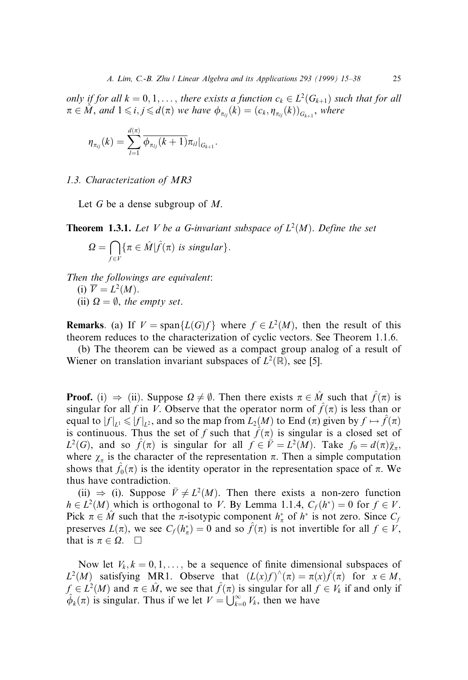only if for all  $k = 0, 1, \ldots$ , there exists a function  $c_k \in L^2(G_{k+1})$  such that for all  $\pi \in \hat{M}$ , and  $1 \leqslant i,j \leqslant d(\pi)$  we have  $\phi_{\pi_{ij}}(k) = (c_k, \eta_{\pi_{ij}}(k))_{G_{k+1}}$ , where

$$
\eta_{\pi_{ij}}(k)=\sum_{l=1}^{d(\pi)}\overline{\phi_{\pi_{lj}}(k+1)}\pi_{il}|_{G_{k+1}}.
$$

1.3. Characterization of MR3

Let G be a dense subgroup of  $M$ .

**Theorem 1.3.1.** Let V be a G-invariant subspace of  $L^2(M)$ . Define the set

$$
\Omega = \bigcap_{f \in V} \{ \pi \in \hat{M} | \hat{f}(\pi) \text{ is singular} \}.
$$

Then the followings are equivalent: (i)  $\overline{V} = L^2(M)$ . (ii)  $\Omega = \emptyset$ , the empty set.

**Remarks**. (a) If  $V = \text{span}\{L(G)f\}$  where  $f \in L^2(M)$ , then the result of this theorem reduces to the characterization of cyclic vectors. See Theorem 1.1.6.

(b) The theorem can be viewed as a compact group analog of a result of Wiener on translation invariant subspaces of  $L^2(\mathbb{R})$ , see [5].

**Proof.** (i)  $\Rightarrow$  (ii). Suppose  $\Omega \neq \emptyset$ . Then there exists  $\pi \in \hat{M}$  such that  $\hat{f}(\pi)$  is singular for all f in V. Observe that the operator norm of  $\hat{f}(\pi)$  is less than or equal to  $|f|_{L^1} \le |f|_{L^2}$ , and so the map from  $L_2(M)$  to End  $(\pi)$  given by  $f \mapsto \hat{f}(\pi)$ is continuous. Thus the set of f such that  $\hat{f}(\pi)$  is singular is a closed set of  $L^2(G)$ , and so  $\hat{f}(\pi)$  is singular for all  $f \in \bar{V} = L^2(M)$ . Take  $f_0 = d(\pi)\bar{\chi}_\pi$ , where  $\chi_{\pi}$  is the character of the representation  $\pi$ . Then a simple computation shows that  $\hat{f}_0(\pi)$  is the identity operator in the representation space of  $\pi$ . We thus have contradiction.

(ii)  $\Rightarrow$  (i). Suppose  $\bar{V} \neq L^2(M)$ . Then there exists a non-zero function  $h \in L^2(M)$  which is orthogonal to V. By Lemma 1.1.4,  $C_f(h^*) = 0$  for  $f \in V$ . Pick  $\pi \in \hat{M}$  such that the  $\pi$ -isotypic component  $h_{\pi}^*$  of  $h^*$  is not zero. Since  $C_f$ preserves  $L(\pi)$ , we see  $C_f(h_{\pi}^*) = 0$  and so  $\hat{f}(\pi)$  is not invertible for all  $f \in V$ , that is  $\pi \in \Omega$ .  $\square$ 

Now let  $V_k, k = 0, 1, \ldots$ , be a sequence of finite dimensional subspaces of  $L^2(M)$  satisfying MR1. Observe that  $(L(x)f)^{\wedge}(\pi) = \pi(x)\hat{f}(\pi)$  for  $x \in M$ ,  $f \in L^2(M)$  and  $\pi \in \hat{M}$ , we see that  $\hat{f}(\pi)$  is singular for all  $f \in V_k$  if and only if  $\hat{\phi}_k(\pi)$  is singular. Thus if we let  $V = \bigcup_{k=0}^{\infty} V_k$ , then we have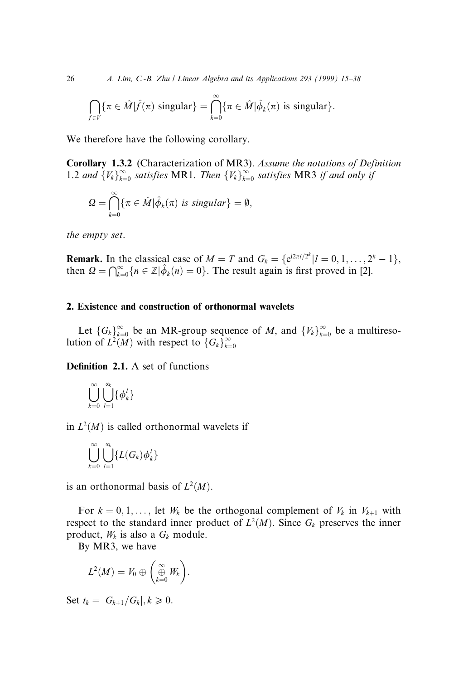26 A. Lim, C.-B. Zhu / Linear Algebra and its Applications 293 (1999) 15–38

$$
\bigcap_{f\in V} \{\pi\in \hat{M}|\hat{f}(\pi) \text{ singular}\} = \bigcap_{k=0}^{\infty} \{\pi\in \hat{M}|\hat{\phi}_k(\pi) \text{ is singular}\}.
$$

We therefore have the following corollary.

Corollary 1.3.2 (Characterization of MR3). Assume the notations of Definition 1.2 and  ${V_k}_{k=0}^{\infty}$  satisfies MR1. Then  ${V_k}_{k=0}^{\infty}$  satisfies MR3 if and only if

$$
\Omega = \bigcap_{k=0}^{\infty} \{\pi \in \hat{M} | \hat{\phi}_k(\pi) \text{ is singular}\} = \emptyset,
$$

the empty set.

**Remark.** In the classical case of  $M = T$  and  $G_k = \{e^{i2\pi l/2^k} | l = 0, 1, ..., 2^k - 1\}$ , then  $\Omega = \bigcap_{k=0}^{\infty} \{n \in \mathbb{Z} | \hat{\phi}_k(n) = 0\}$ . The result again is first proved in [2].

## 2. Existence and construction of orthonormal wavelets

Let  $\{G_k\}_{k=0}^{\infty}$  be an MR-group sequence of M, and  $\{V_k\}_{k=0}^{\infty}$  be a multiresolution of  $L^2(M)$  with respect to  $\{G_k\}_{k=0}^{\infty}$ 

Definition 2.1. A set of functions

$$
\bigcup_{k=0}^\infty\bigcup_{l=1}^{\alpha_k}\{\phi_k^l\}
$$

in  $L^2(M)$  is called orthonormal wavelets if

$$
\bigcup_{k=0}^\infty\bigcup_{l=1}^{\alpha_k}\{L(G_k)\phi^l_k\}
$$

is an orthonormal basis of  $L^2(M)$ .

For  $k = 0, 1, \ldots$ , let  $W_k$  be the orthogonal complement of  $V_k$  in  $V_{k+1}$  with respect to the standard inner product of  $L^2(M)$ . Since  $G_k$  preserves the inner product,  $W_k$  is also a  $G_k$  module.

By MR3, we have

$$
L^2(M)=V_0\oplus\left(\underset{k=0}{\overset{\infty}{\oplus}}W_k\right).
$$

Set  $t_k = |G_{k+1}/G_k|, k \geqslant 0.$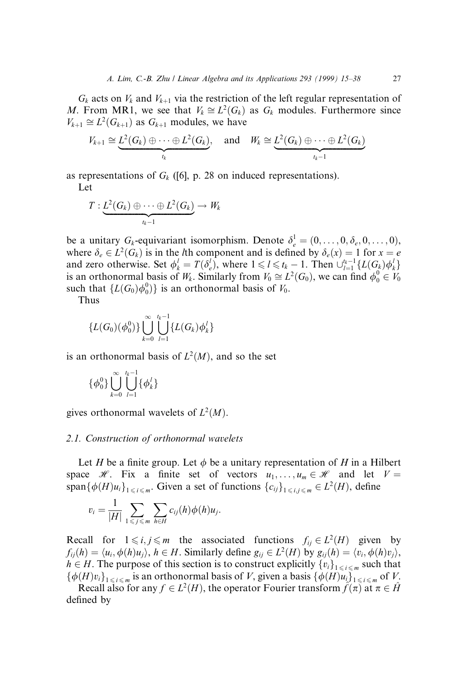$G_k$  acts on  $V_k$  and  $V_{k+1}$  via the restriction of the left regular representation of M. From MR1, we see that  $V_k \cong L^2(G_k)$  as  $G_k$  modules. Furthermore since  $V_{k+1} \cong L^2(G_{k+1})$  as  $G_{k+1}$  modules, we have

$$
V_{k+1} \cong \underbrace{L^2(G_k) \oplus \cdots \oplus L^2(G_k)}_{t_k}, \quad \text{and} \quad W_k \cong \underbrace{L^2(G_k) \oplus \cdots \oplus L^2(G_k)}_{t_k-1}
$$

as representations of  $G_k$  ([6], p. 28 on induced representations).

Let

$$
T:\underbrace{L^2(G_k)\oplus\cdots\oplus L^2(G_k)}_{t_k-1}\rightarrow W_k
$$

be a unitary  $G_k$ -equivariant isomorphism. Denote  $\delta_e^1 = (0, \ldots, 0, \delta_e, 0, \ldots, 0)$ , where  $\delta_e \in L^2(G_k)$  is in the *l*th component and is defined by  $\delta_e(x) = 1$  for  $x = e$ and zero otherwise. Set  $\phi_k^l = T(\delta_e^l)$ , where  $1 \leq l \leq t_k - 1$ . Then  $\bigcup_{l=1}^{t_k-1} \{L(G_k)\phi_k^l\}$ is an orthonormal basis of  $W_k$ . Similarly from  $V_0 \cong L^2(G_0)$ , we can find  $\phi_0^0 \in V_0$ such that  $\{L(G_0)\phi_0^0)\}$  is an orthonormal basis of  $V_0$ .

Thus

$$
{L(G_0)(\phi_0^0)}\bigg\{\bigcup_{k=0}^{\infty}\bigcup_{l=1}^{l_k-1}{L(G_k)\phi_k^l}\bigg\}
$$

is an orthonormal basis of  $L^2(M)$ , and so the set

$$
\{\phi_0^0\}\bigcup_{k=0}^\infty\bigcup_{l=1}^{t_k-1}\{\phi_k^l\}
$$

gives orthonormal wavelets of  $L^2(M)$ .

#### 2.1. Construction of orthonormal wavelets

Let H be a finite group. Let  $\phi$  be a unitary representation of H in a Hilbert space H. Fix a finite set of vectors  $u_1, \ldots, u_m \in \mathcal{H}$  and let  $V =$ span $\{\phi(H)u_i\}_{1 \le i \le m}$ . Given a set of functions  $\{c_{ij}\}_{1 \le i,j \le m} \in L^2(H)$ , define

$$
v_i = \frac{1}{|H|} \sum_{1 \leq j \leq m} \sum_{h \in H} c_{ij}(h) \phi(h) u_j.
$$

Recall for  $1 \le i, j \le m$  the associated functions  $f_{ii} \in L^2(H)$  given by  $f_{ii}(h) = \langle u_i, \phi(h)u_i \rangle$ ,  $h \in H$ . Similarly define  $g_{ii} \in L^2(H)$  by  $g_{ii}(h) = \langle v_i, \phi(h)v_i \rangle$ ,  $h \in H$ . The purpose of this section is to construct explicitly  $\{v_i\}_{1 \le i \le m}$  such that  $\{\phi(H)v_i\}_{1\leq i\leq m}$  is an orthonormal basis of V, given a basis  $\{\phi(H)u_i\}_{1\leq i\leq m}$  of V.

Recall also for any  $f \in L^2(H)$ , the operator Fourier transform  $\hat{f}(\pi)$  at  $\pi \in \hat{H}$ defined by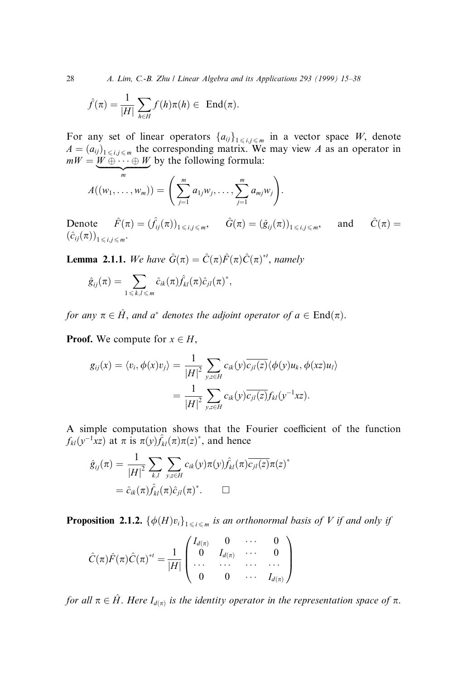28 A. Lim, C.-B. Zhu / Linear Algebra and its Applications 293 (1999) 15-38

$$
\hat{f}(\pi) = \frac{1}{|H|} \sum_{h \in H} f(h)\pi(h) \in \text{ End}(\pi).
$$

For any set of linear operators  $\{a_{ij}\}_{1 \le i,j \le m}$  in a vector space W, denote  $A = (a_{ij})_{1 \le i,j \le m}$  the corresponding matrix. We may view A as an operator in  $mW = W \oplus \cdots \oplus W$  by the following formula:

$$
A((w_1,\ldots,w_m))=\left(\sum_{j=1}^m a_{1j}w_j,\ldots,\sum_{j=1}^m a_{mj}w_j\right).
$$

Denote  $\hat{F}(\pi) = (\hat{f}_{ij}(\pi))_{1 \le i,j \le m}$ ,  $\hat{G}(\pi) = (\hat{g}_{ij}(\pi))_{1 \le i,j \le m}$ , and  $\hat{C}(\pi) =$  $(\hat{c}_{ij}(\pi))_{1 \le i,j \le m}$ .

**Lemma 2.1.1.** We have  $\hat{G}(\pi) = \hat{C}(\pi)\hat{F}(\pi)\hat{C}(\pi)^{*t}$ , namely

$$
\hat{g}_{ij}(\pi) = \sum_{1 \leq k,l \leq m} \hat{c}_{ik}(\pi) \hat{f}_{kl}(\pi) \hat{c}_{jl}(\pi)^*,
$$

for any  $\pi \in \hat{H}$ , and a<sup>\*</sup> denotes the adjoint operator of  $a \in \text{End}(\pi)$ .

**Proof.** We compute for  $x \in H$ ,

$$
g_{ij}(x) = \langle v_i, \phi(x)v_j \rangle = \frac{1}{|H|^2} \sum_{y,z \in H} c_{ik}(y) \overline{c_{jl}(z)} \langle \phi(y)u_k, \phi(x)u_l \rangle
$$
  
= 
$$
\frac{1}{|H|^2} \sum_{y,z \in H} c_{ik}(y) \overline{c_{jl}(z)} f_{kl}(y^{-1}xz).
$$

A simple computation shows that the Fourier coefficient of the function  $f_{kl}(y^{-1}xz)$  at  $\pi$  is  $\pi(y) \hat{f}_{kl}(\pi) \pi(z)^*$ , and hence

$$
\hat{g}_{ij}(\pi) = \frac{1}{|H|^2} \sum_{k,l} \sum_{y,z \in H} c_{ik}(y) \pi(y) \hat{f}_{kl}(\pi) \overline{c_{jl}(z)} \pi(z)^*
$$

$$
= \hat{c}_{ik}(\pi) \hat{f}_{kl}(\pi) \hat{c}_{jl}(\pi)^*.
$$

**Proposition 2.1.2.**  $\{\phi(H)v_i\}_{1\leq i \leq m}$  is an orthonormal basis of V if and only if

$$
\hat{C}(\pi)\hat{F}(\pi)\hat{C}(\pi)^{*t} = \frac{1}{|H|} \begin{pmatrix} I_{d(\pi)} & 0 & \cdots & 0 \\ 0 & I_{d(\pi)} & \cdots & 0 \\ \cdots & \cdots & \cdots & \cdots \\ 0 & 0 & \cdots & I_{d(\pi)} \end{pmatrix}
$$

for all  $\pi \in \hat{H}$ . Here  $I_{d(\pi)}$  is the identity operator in the representation space of  $\pi$ .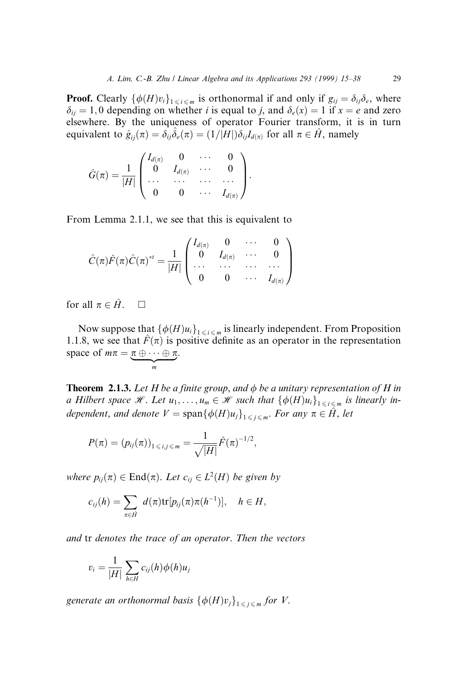**Proof.** Clearly  $\{\phi(H)v_i\}_{1\leq i \leq m}$  is orthonormal if and only if  $g_{ij} = \delta_{ij}\delta_e$ , where  $\delta_{ij} = 1, 0$  depending on whether i is equal to j, and  $\delta_e(x) = 1$  if  $x = e$  and zero elsewhere. By the uniqueness of operator Fourier transform, it is in turn equivalent to  $\hat{g}_{ii}(\pi) = \delta_{ii}\hat{\delta}_e(\pi) = (1/|H|)\delta_{ii}I_{d(\pi)}$  for all  $\pi \in \hat{H}$ , namely

$$
\hat{G}(\pi)=\frac{1}{|H|}\begin{pmatrix}I_{d(\pi)}&0&\cdots&0\\0&I_{d(\pi)}&\cdots&0\\ \cdots&\cdots&\cdots&\cdots\\0&0&\cdots&I_{d(\pi)}\end{pmatrix}.
$$

From Lemma 2.1.1, we see that this is equivalent to

$$
\hat{C}(\pi)\hat{F}(\pi)\hat{C}(\pi)^{*t} = \frac{1}{|H|}\begin{pmatrix} I_{d(\pi)} & 0 & \cdots & 0 \\ 0 & I_{d(\pi)} & \cdots & 0 \\ \cdots & \cdots & \cdots & \cdots \\ 0 & 0 & \cdots & I_{d(\pi)} \end{pmatrix}
$$

for all  $\pi \in \hat{H}$ .  $\Box$ 

Now suppose that  $\{\phi(H)u_i\}_{1 \le i \le m}$  is linearly independent. From Proposition 1.1.8, we see that  $\hat{F}(\pi)$  is positive definite as an operator in the representation space of  $m\pi = \pi \oplus \cdots \oplus \pi$  $\sum_{m}$ .

**Theorem 2.1.3.** Let H be a finite group, and  $\phi$  be a unitary representation of H in a Hilbert space H. Let  $u_1, \ldots, u_m \in \mathcal{H}$  such that  $\{\phi(H)u_i\}_{1 \le i \le m}$  is linearly independent, and denote  $V = \text{span}\{\phi(H)u_j\}_{1 \leq j \leq m}$ . For any  $\pi \in \hat{H}$ , let

$$
P(\pi) = (p_{ij}(\pi))_{1 \le i,j \le m} = \frac{1}{\sqrt{|H|}} \hat{F}(\pi)^{-1/2},
$$

where  $p_{ij}(\pi) \in \text{End}(\pi)$ . Let  $c_{ij} \in L^2(H)$  be given by

$$
c_{ij}(h) = \sum_{\pi \in \hat{H}} d(\pi) \text{tr}[p_{ij}(\pi) \pi(h^{-1})], \quad h \in H,
$$

and tr denotes the trace of an operator. Then the vectors

$$
v_i = \frac{1}{|H|} \sum_{h \in H} c_{ij}(h) \phi(h) u_j
$$

generate an orthonormal basis  $\{\phi(H)v_i\}_{1 \leq i \leq m}$  for V.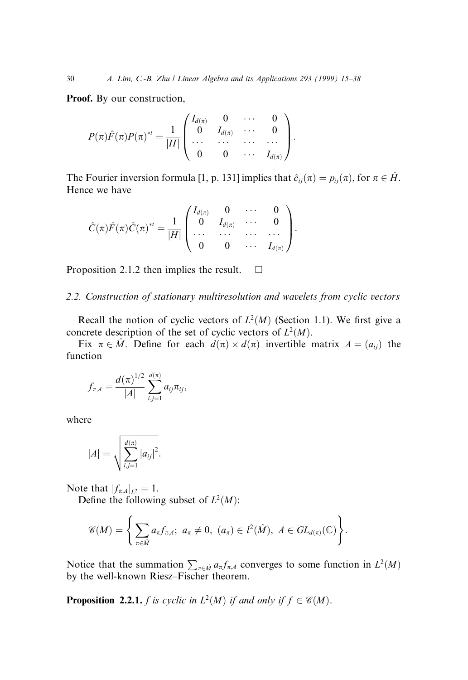Proof. By our construction,

$$
P(\pi)\hat{F}(\pi)P(\pi)^{*t} = \frac{1}{|H|}\begin{pmatrix} I_{d(\pi)} & 0 & \cdots & 0 \\ 0 & I_{d(\pi)} & \cdots & 0 \\ \cdots & \cdots & \cdots & \cdots \\ 0 & 0 & \cdots & I_{d(\pi)} \end{pmatrix}.
$$

The Fourier inversion formula [1, p. 131] implies that  $\hat{c}_{ij}(\pi) = p_{ij}(\pi)$ , for  $\pi \in \hat{H}$ . Hence we have

$$
\hat{C}(\pi)\hat{F}(\pi)\hat{C}(\pi)^{*t} = \frac{1}{|H|}\begin{pmatrix} I_{d(\pi)} & 0 & \cdots & 0 \\ 0 & I_{d(\pi)} & \cdots & 0 \\ \cdots & \cdots & \cdots & \cdots \\ 0 & 0 & \cdots & I_{d(\pi)} \end{pmatrix}.
$$

Proposition 2.1.2 then implies the result.  $\square$ 

# 2.2. Construction of stationary multiresolution and wavelets from cyclic vectors

Recall the notion of cyclic vectors of  $L^2(M)$  (Section 1.1). We first give a concrete description of the set of cyclic vectors of  $L^2(M)$ .

Fix  $\pi \in \hat{M}$ . Define for each  $d(\pi) \times d(\pi)$  invertible matrix  $A = (a_{ij})$  the function

$$
f_{\pi,A} = \frac{d(\pi)^{1/2}}{|A|} \sum_{i,j=1}^{d(\pi)} a_{ij} \pi_{ij},
$$

where

$$
|A| = \sqrt{\sum_{i,j=1}^{d(\pi)} |a_{ij}|^2}.
$$

Note that  $|f_{\pi,A}|_{L^2} = 1$ .

Define the following subset of  $L^2(M)$ :

$$
\mathscr{C}(M)=\Bigg\{\sum_{\pi\in \hat{M}}a_{\pi}f_{\pi,A};\,\, a_{\pi}\neq 0,\,\, (a_{\pi})\in l^2(\hat{M}),\,\, A\in GL_{d(\pi)}(\mathbb{C})\Bigg\}.
$$

Notice that the summation  $\sum_{\pi \in \hat{M}} a_{\pi} f_{\pi,A}$  converges to some function in  $L^2(M)$ by the well-known Riesz-Fischer theorem.

**Proposition 2.2.1.** *f is cyclic in*  $L^2(M)$  *if and only if*  $f \in \mathcal{C}(M)$ *.*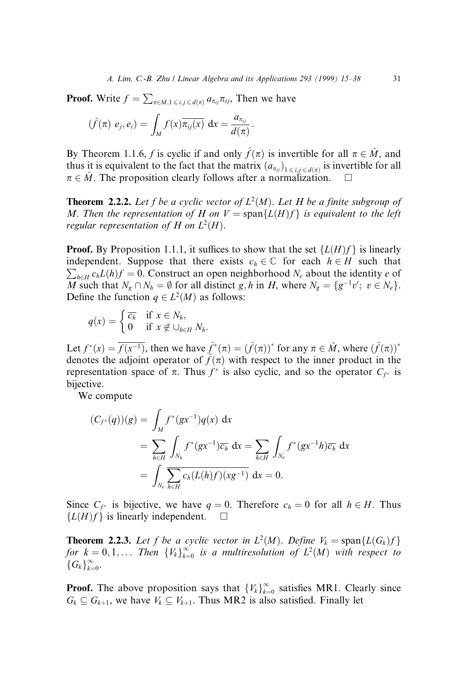**Proof.** Write  $f = \sum_{\pi \in \hat{M}, 1 \le i, j \le d(\pi)} a_{\pi_{ij}} \pi_{ij}$ , Then we have

$$
(\hat{f}(\pi) e_j, e_i) = \int_M f(x) \overline{\pi_{ij}(x)} dx = \frac{a_{\pi_{ij}}}{d(\pi)}.
$$

By Theorem 1.1.6, f is cyclic if and only  $\hat{f}(\pi)$  is invertible for all  $\pi \in \hat{M}$ , and thus it is equivalent to the fact that the matrix  $(a_{\pi_{ij}})_{1 \le i,j \le d(\pi)}$  is invertible for all  $\pi \in \hat{M}$ . The proposition clearly follows after a normalization.

**Theorem 2.2.2.** Let f be a cyclic vector of  $L^2(M)$ . Let H be a finite subgroup of M. Then the representation of H on  $V = \text{span}\{L(H)f\}$  is equivalent to the left regular representation of H on  $L^2(H)$ .

**Proof.** By Proposition 1.1.1, it suffices to show that the set  $\{L(H)f\}$  is linearly  $\sum_{h \in H} c_h L(h) f = 0$ . Construct an open neighborhood  $N_e$  about the identity e of independent. Suppose that there exists  $c_h \in \mathbb{C}$  for each  $h \in H$  such that M such that  $N_g \cap N_h = \emptyset$  for all distinct g, h in H, where  $N_g = \{g^{-1}v' ; v \in N_e\}.$ Define the function  $q \in L^2(M)$  as follows:

$$
q(x) = \begin{cases} \overline{c_h} & \text{if } x \in N_h, \\ 0 & \text{if } x \notin \bigcup_{h \in H} N_h. \end{cases}
$$

Let  $f^*(x) = \overline{f(x^{-1})}$ , then we have  $\hat{f}^*(\pi) = (\hat{f}(\pi))^*$  for any  $\pi \in \hat{M}$ , where  $(\hat{f}(\pi))^*$ denotes the adjoint operator of  $\hat{f}(\pi)$  with respect to the inner product in the representation space of  $\pi$ . Thus  $f^*$  is also cyclic, and so the operator  $C_{f^*}$  is bijective.

We compute

$$
(C_{f^*}(q))(g) = \int_M f^*(gx^{-1})q(x) dx
$$
  
= 
$$
\sum_{h \in H} \int_{N_h} f^*(gx^{-1}) \overline{c_h} dx = \sum_{h \in H} \int_{N_e} f^*(gx^{-1}h) \overline{c_h} dx
$$
  
= 
$$
\int_{N_e} \sum_{h \in H} c_h(L(h)f)(xg^{-1}) dx = 0.
$$

Since  $C_{f^*}$  is bijective, we have  $q = 0$ . Therefore  $c_h = 0$  for all  $h \in H$ . Thus  ${L(H)f}$  is linearly independent.  $\square$ 

**Theorem 2.2.3.** Let f be a cyclic vector in  $L^2(M)$ . Define  $V_k = \text{span}\{L(G_k)f\}$ for  $k = 0, 1, ...$  Then  ${V_k}_{k=0}^{\infty}$  is a multiresolution of  $L^2(M)$  with respect to  ${G_k\}_{k=0}^\infty$ .

**Proof.** The above proposition says that  $\{V_k\}_{k=0}^{\infty}$  satisfies MR1. Clearly since  $G_k \subseteq G_{k+1}$ , we have  $V_k \subseteq V_{k+1}$ . Thus MR2 is also satisfied. Finally let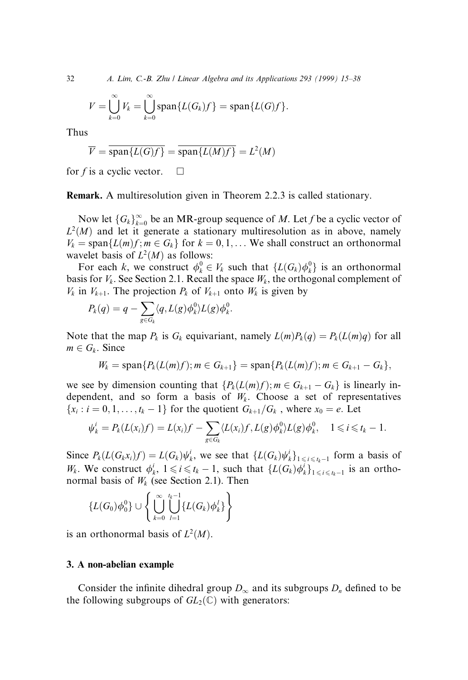32 A. Lim, C.-B. Zhu / Linear Algebra and its Applications 293 (1999) 15–38

$$
V=\bigcup_{k=0}^{\infty}V_k=\bigcup_{k=0}^{\infty}\mathrm{span}\{L(G_k)f\}=\mathrm{span}\{L(G)f\}.
$$

Thus

$$
\overline{V} = \overline{\text{span}\{L(G)f\}} = \overline{\text{span}\{L(M)f\}} = L^2(M)
$$

for f is a cyclic vector.  $\square$ 

Remark. A multiresolution given in Theorem 2.2.3 is called stationary.

Now let  $\{G_k\}_{k=0}^{\infty}$  be an MR-group sequence of M. Let f be a cyclic vector of  $L^2(M)$  and let it generate a stationary multiresolution as in above, namely  $V_k = \text{span}\{L(m)f; m \in G_k\}$  for  $k = 0, 1, \ldots$  We shall construct an orthonormal wavelet basis of  $L^2(M)$  as follows:

For each k, we construct  $\phi_k^0 \in V_k$  such that  $\{L(G_k)\phi_k^0\}$  is an orthonormal basis for  $V_k$ . See Section 2.1. Recall the space  $W_k$ , the orthogonal complement of  $V_k$  in  $V_{k+1}$ . The projection  $P_k$  of  $V_{k+1}$  onto  $W_k$  is given by

$$
P_k(q) = q - \sum_{g \in G_k} \langle q, L(g) \phi_k^0 \rangle L(g) \phi_k^0.
$$

Note that the map  $P_k$  is  $G_k$  equivariant, namely  $L(m)P_k(q) = P_k(L(m)q)$  for all  $m \in G_k$ . Since

$$
W_k = \mathrm{span}\{P_k(L(m)f); m \in G_{k+1}\} = \mathrm{span}\{P_k(L(m)f); m \in G_{k+1} - G_k\},\
$$

we see by dimension counting that  $\{P_k(L(m)f); m \in G_{k+1} - G_k\}$  is linearly independent, and so form a basis of  $W_k$ . Choose a set of representatives  ${x_i : i = 0, 1, \ldots, t_k - 1}$  for the quotient  $G_{k+1}/G_k$ , where  $x_0 = e$ . Let

$$
\psi_k^i = P_k(L(x_i)f) = L(x_i)f - \sum_{g \in G_k} \langle L(x_i)f, L(g)\phi_k^0 \rangle L(g)\phi_k^0, \quad 1 \leq i \leq t_k - 1.
$$

Since  $P_k(L(G_k x_i)f) = L(G_k)\psi_k^i$ , we see that  $\{L(G_k)\psi_k^i\}_{1 \leq i \leq t_k-1}$  form a basis of  $W_k$ . We construct  $\phi_k^i$ ,  $1 \leq i \leq t_k - 1$ , such that  $\{L(G_k)\phi_k^i\}_{1 \leq i \leq t_k-1}$  is an orthonormal basis of  $W_k$  (see Section 2.1). Then

$$
\left\{L(G_0)\phi_0^0\right\}\cup\left\{\bigcup_{k=0}^{\infty}\bigcup_{l=1}^{t_k-1}\left\{L(G_k)\phi_k^l\right\}\right\}
$$

is an orthonormal basis of  $L^2(M)$ .

#### 3. A non-abelian example

Consider the infinite dihedral group  $D_{\infty}$  and its subgroups  $D_n$  defined to be the following subgroups of  $GL_2(\mathbb{C})$  with generators: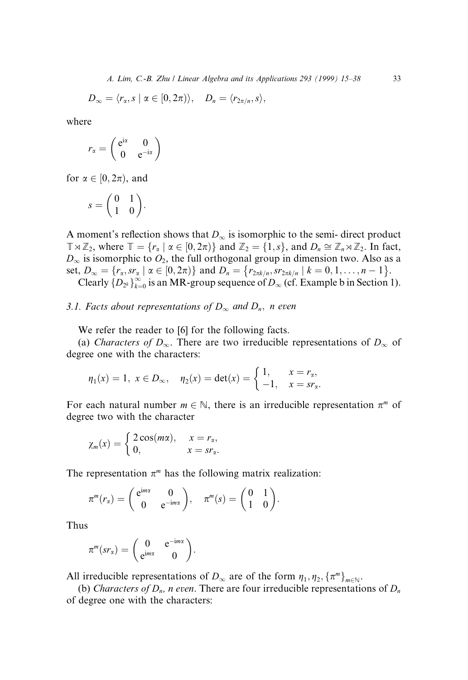$$
D_{\infty}=\langle r_{\alpha},s\mid \alpha\in[0,2\pi)\rangle,\quad D_{n}=\langle r_{2\pi/n},s\rangle,
$$

where

$$
r_{\alpha} = \begin{pmatrix} e^{i\alpha} & 0 \\ 0 & e^{-i\alpha} \end{pmatrix}
$$

for  $\alpha \in [0, 2\pi)$ , and

$$
s = \begin{pmatrix} 0 & 1 \\ 1 & 0 \end{pmatrix}.
$$

A moment's reflection shows that  $D_{\infty}$  is isomorphic to the semi-direct product  $\mathbb{T} \rtimes \mathbb{Z}_2$ , where  $\mathbb{T} = \{r_\alpha \mid \alpha \in [0, 2\pi)\}\$  and  $\mathbb{Z}_2 = \{1, s\}$ , and  $D_n \cong \mathbb{Z}_n \rtimes \mathbb{Z}_2$ . In fact,  $D_{\infty}$  is isomorphic to  $O_2$ , the full orthogonal group in dimension two. Also as a set,  $D_{\infty} = \{r_{\alpha}, s r_{\alpha} \mid \alpha \in [0, 2\pi)\}\$  and  $D_n = \{r_{2\pi k/n}, s r_{2\pi k/n} \mid k = 0, 1, \dots, n - 1\}.$ Clearly  $\{D_{2^k}\}_{k=0}^{\infty}$  is an MR-group sequence of  $D_{\infty}$  (cf. Example b in Section 1).

# 3.1. Facts about representations of  $D_{\infty}$  and  $D_n$ , n even

We refer the reader to [6] for the following facts.

(a) Characters of  $D_{\infty}$ . There are two irreducible representations of  $D_{\infty}$  of degree one with the characters:

$$
\eta_1(x) = 1, \ x \in D_{\infty}, \quad \eta_2(x) = \det(x) = \begin{cases} 1, & x = r_{\alpha}, \\ -1, & x = sr_{\alpha}. \end{cases}
$$

For each natural number  $m \in \mathbb{N}$ , there is an irreducible representation  $\pi^m$  of degree two with the character

$$
\chi_m(x) = \begin{cases} 2\cos(m\alpha), & x = r_\alpha, \\ 0, & x = sr_\alpha. \end{cases}
$$

The representation  $\pi^m$  has the following matrix realization:

$$
\pi^m(r_\alpha)=\begin{pmatrix} e^{im\alpha}&0\\0&e^{-im\alpha}\end{pmatrix}, \quad \pi^m(s)=\begin{pmatrix} 0&1\\1&0\end{pmatrix}.
$$

Thus

$$
\pi^m(sr_\alpha)=\begin{pmatrix}0 & e^{-im\alpha} \\ e^{im\alpha} & 0\end{pmatrix}.
$$

All irreducible representations of  $D_{\infty}$  are of the form  $\eta_1, \eta_2, {\{\pi^m\}}_{m\in\mathbb{N}}$ .

(b) Characters of  $D_n$ , n even. There are four irreducible representations of  $D_n$ of degree one with the characters: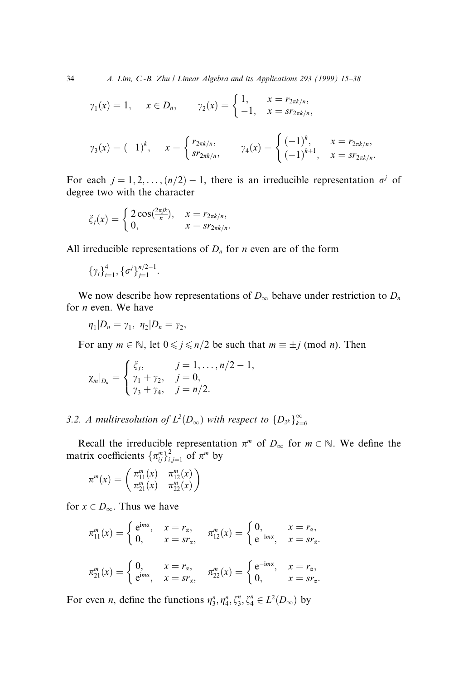34 A. Lim, C.-B. Zhu / Linear Algebra and its Applications 293 (1999) 15-38

$$
\gamma_1(x) = 1, \quad x \in D_n, \quad \gamma_2(x) = \begin{cases} 1, & x = r_{2\pi k/n}, \\ -1, & x = s r_{2\pi k/n}, \end{cases}
$$

$$
\gamma_3(x) = (-1)^k
$$
,  $x = \begin{cases} r_{2\pi k/n}, & \gamma_4(x) = \begin{cases} (-1)^k, & x = r_{2\pi k/n}, \\ (-1)^{k+1}, & x = sr_{2\pi k/n}. \end{cases} \end{cases}$ 

For each  $j = 1, 2, ..., (n/2) - 1$ , there is an irreducible representation  $\sigma^{j}$  of degree two with the character

$$
\xi_j(x) = \begin{cases} 2\cos(\frac{2\pi jk}{n}), & x = r_{2\pi k/n}, \\ 0, & x = s r_{2\pi k/n}. \end{cases}
$$

All irreducible representations of  $D_n$  for *n* even are of the form

$$
\{\gamma_i\}_{i=1}^4, \{\sigma^j\}_{j=1}^{n/2-1}.
$$

We now describe how representations of  $D_{\infty}$  behave under restriction to  $D_n$ for n even. We have

$$
\eta_1|D_n=\gamma_1,\ \eta_2|D_n=\gamma_2,
$$

For any  $m \in \mathbb{N}$ , let  $0 \le j \le n/2$  be such that  $m \equiv \pm j \pmod{n}$ . Then

$$
\chi_m|_{D_n} = \begin{cases} \xi_j, & j = 1, \dots, n/2 - 1, \\ \gamma_1 + \gamma_2, & j = 0, \\ \gamma_3 + \gamma_4, & j = n/2. \end{cases}
$$

3.2. A multiresolution of  $L^2(D_\infty)$  with respect to  $\{D_{2^k}\}_{k=0}^\infty$ 

Recall the irreducible representation  $\pi^m$  of  $D_{\infty}$  for  $m \in \mathbb{N}$ . We define the matrix coefficients  $\{\pi_{ij}^m\}_{i,j=1}^2$  of  $\pi^m$  by

$$
\pi^m(x) = \begin{pmatrix} \pi_{11}^m(x) & \pi_{12}^m(x) \\ \pi_{21}^m(x) & \pi_{22}^m(x) \end{pmatrix}
$$

for  $x \in D_{\infty}$ . Thus we have

$$
\pi_{11}^{m}(x) = \begin{cases} e^{imx}, & x = r_{\alpha}, \\ 0, & x = s r_{\alpha}, \end{cases} \quad \pi_{12}^{m}(x) = \begin{cases} 0, & x = r_{\alpha}, \\ e^{-imx}, & x = s r_{\alpha}. \end{cases}
$$

$$
\pi_{21}^{m}(x) = \begin{cases} 0, & x = r_{\alpha}, \\ e^{imx}, & x = s r_{\alpha}, \end{cases} \quad \pi_{22}^{m}(x) = \begin{cases} e^{-imx}, & x = r_{\alpha}, \\ 0, & x = s r_{\alpha}. \end{cases}
$$

For even *n*, define the functions  $\eta_3^n, \eta_4^n, \zeta_3^n, \zeta_4^n \in L^2(D_\infty)$  by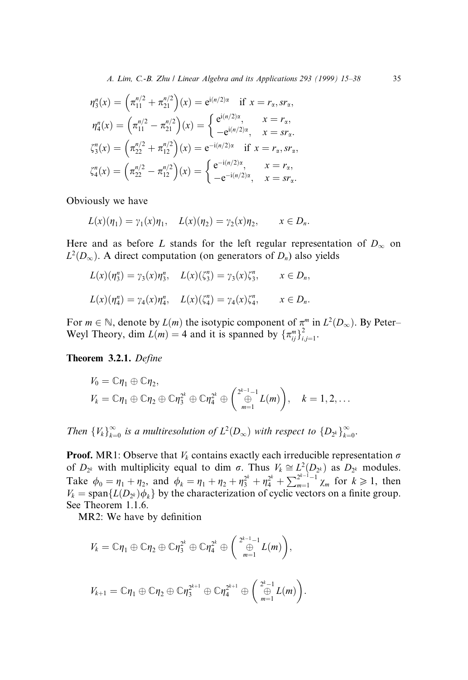$$
\eta_3^n(x) = \left(\pi_{11}^{n/2} + \pi_{21}^{n/2}\right)(x) = e^{i(n/2)\alpha} \text{ if } x = r_\alpha, sr_\alpha,
$$
  
\n
$$
\eta_4^n(x) = \left(\pi_{11}^{n/2} - \pi_{21}^{n/2}\right)(x) = \begin{cases} e^{i(n/2)\alpha}, & x = r_\alpha, \\ -e^{i(n/2)\alpha}, & x = sr_\alpha. \end{cases}
$$
  
\n
$$
\zeta_3^n(x) = \left(\pi_{22}^{n/2} + \pi_{12}^{n/2}\right)(x) = e^{-i(n/2)\alpha} \text{ if } x = r_\alpha, sr_\alpha,
$$
  
\n
$$
\zeta_4^n(x) = \left(\pi_{22}^{n/2} - \pi_{12}^{n/2}\right)(x) = \begin{cases} e^{-i(n/2)\alpha}, & x = r_\alpha, \\ -e^{-i(n/2)\alpha}, & x = sr_\alpha. \end{cases}
$$

Obviously we have

$$
L(x)(\eta_1) = \gamma_1(x)\eta_1, \quad L(x)(\eta_2) = \gamma_2(x)\eta_2, \qquad x \in D_n.
$$

Here and as before L stands for the left regular representation of  $D_{\infty}$  on  $L^2(D_\infty)$ . A direct computation (on generators of  $D_n$ ) also yields

$$
L(x)(\eta_3^n) = \gamma_3(x)\eta_3^n, \quad L(x)(\zeta_3^n) = \gamma_3(x)\zeta_3^n, \qquad x \in D_n,
$$
  

$$
L(x)(\eta_4^n) = \gamma_4(x)\eta_4^n, \quad L(x)(\zeta_4^n) = \gamma_4(x)\zeta_4^n, \qquad x \in D_n.
$$

For  $m \in \mathbb{N}$ , denote by  $L(m)$  the isotypic component of  $\pi^m$  in  $L^2(D_\infty)$ . By Peter-Weyl Theory, dim  $L(m) = 4$  and it is spanned by  $\{\pi_{ij}^m\}_{i,j=1}^2$ .

Theorem 3.2.1. Define

$$
V_0 = \mathbb{C}\eta_1 \oplus \mathbb{C}\eta_2,
$$
  
\n
$$
V_k = \mathbb{C}\eta_1 \oplus \mathbb{C}\eta_2 \oplus \mathbb{C}\eta_3^{2^k} \oplus \mathbb{C}\eta_4^{2^k} \oplus \left( \bigoplus_{m=1}^{2^{k-1}-1} L(m) \right), \quad k = 1, 2, ...
$$

Then  ${V_k}_{k=0}^{\infty}$  is a multiresolution of  $L^2(D_{\infty})$  with respect to  ${D_{2^k}}_{k=0}^{\infty}$ .

**Proof.** MR1: Observe that  $V_k$  contains exactly each irreducible representation  $\sigma$ of  $D_{2^k}$  with multiplicity equal to dim  $\sigma$ . Thus  $V_k \cong L^2(D_{2^k})$  as  $D_{2^k}$  modules. Take  $\phi_0 = \eta_1 + \eta_2$ , and  $\phi_k = \eta_1 + \eta_2 + \eta_3^{2^k} + \eta_4^{2^k} + \sum_{m=1}^{2^{k-1}-1} \chi_m$  for  $k \ge 1$ , then  $V_k = \text{span}\{L(D_{2^k})\phi_k\}$  by the characterization of cyclic vectors on a finite group. See Theorem 1.1.6.

MR2: We have by definition

$$
V_k = \mathbb{C}\eta_1 \oplus \mathbb{C}\eta_2 \oplus \mathbb{C}\eta_3^{2^k} \oplus \mathbb{C}\eta_4^{2^k} \oplus \left( \bigoplus_{m=1}^{2^{k-1}-1} L(m) \right),
$$
  

$$
V_{k+1} = \mathbb{C}\eta_1 \oplus \mathbb{C}\eta_2 \oplus \mathbb{C}\eta_3^{2^{k+1}} \oplus \mathbb{C}\eta_4^{2^{k+1}} \oplus \left( \bigoplus_{m=1}^{2^k-1} L(m) \right).
$$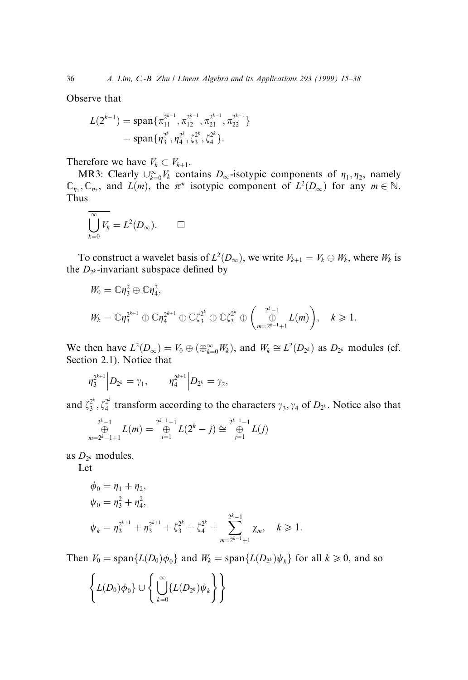Observe that

$$
L(2^{k-1}) = \text{span}\{\pi_{11}^{2^{k-1}}, \pi_{12}^{2^{k-1}}, \pi_{21}^{2^{k-1}}, \pi_{22}^{2^{k-1}}\}
$$
  
= span $\{\eta_3^{2^k}, \eta_4^{2^k}, \zeta_3^{2^k}, \zeta_4^{2^k}\}.$ 

Therefore we have  $V_k \subset V_{k+1}$ .

MR3: Clearly  $\bigcup_{k=0}^{\infty} V_k$  contains  $D_{\infty}$ -isotypic components of  $\eta_1, \eta_2$ , namely  $\mathbb{C}_{\eta_1}, \mathbb{C}_{\eta_2}$ , and  $L(m)$ , the  $\pi^m$  isotypic component of  $L^2(D_\infty)$  for any  $m \in \mathbb{N}$ . Thus

$$
\overline{\bigcup_{k=0}^{\infty} V_k} = L^2(D_{\infty}). \qquad \Box
$$

To construct a wavelet basis of  $L^2(D_\infty)$ , we write  $V_{k+1} = V_k \oplus W_k$ , where  $W_k$  is the  $D_{2^k}$ -invariant subspace defined by

$$
W_0 = \mathbb{C}\eta_3^2 \oplus \mathbb{C}\eta_4^2,
$$
  

$$
W_k = \mathbb{C}\eta_3^{2^{k+1}} \oplus \mathbb{C}\eta_4^{2^{k+1}} \oplus \mathbb{C}\zeta_3^{2^k} \oplus \mathbb{C}\zeta_3^{2^k} \oplus \left(\bigoplus_{m=2^{k-1}+1}^{2^k-1} L(m)\right), \quad k \geq 1.
$$

We then have  $L^2(D_\infty) = V_0 \oplus (\bigoplus_{k=0}^\infty W_k)$ , and  $W_k \cong L^2(D_{2^k})$  as  $D_{2^k}$  modules (cf. Section 2.1). Notice that

$$
\eta_3^{2^{k+1}}\Big|D_{2^k}=\gamma_1,\qquad \eta_4^{2^{k+1}}\Big|D_{2^k}=\gamma_2,
$$

and  $\zeta_3^{2^k}, \zeta_4^{2^k}$  transform according to the characters  $\gamma_3, \gamma_4$  of  $D_{2^k}$ . Notice also that

$$
\bigoplus_{m=2^{k}-1+1}^{2^{k}-1} L(m) = \bigoplus_{j=1}^{2^{k-1}-1} L(2^{k}-j) \cong \bigoplus_{j=1}^{2^{k-1}-1} L(j)
$$

as  $D_{2^k}$  modules.

Let

$$
\phi_0 = \eta_1 + \eta_2,
$$
  
\n
$$
\psi_0 = \eta_3^2 + \eta_4^2,
$$
  
\n
$$
\psi_k = \eta_3^{2^{k+1}} + \eta_3^{2^{k+1}} + \zeta_3^{2^k} + \zeta_4^{2^k} + \sum_{m=2^{k-1}+1}^{2^k-1} \chi_m, \quad k \ge 1.
$$

Then  $V_0 = \text{span}\{L(D_0)\phi_0\}$  and  $W_k = \text{span}\{L(D_{2^k})\psi_k\}$  for all  $k \geq 0$ , and so

$$
\left\{L(D_0)\phi_0\}\cup \left\{\bigcup_{k=0}^\infty \{L(D_{2^k})\psi_k\right\}\right\}
$$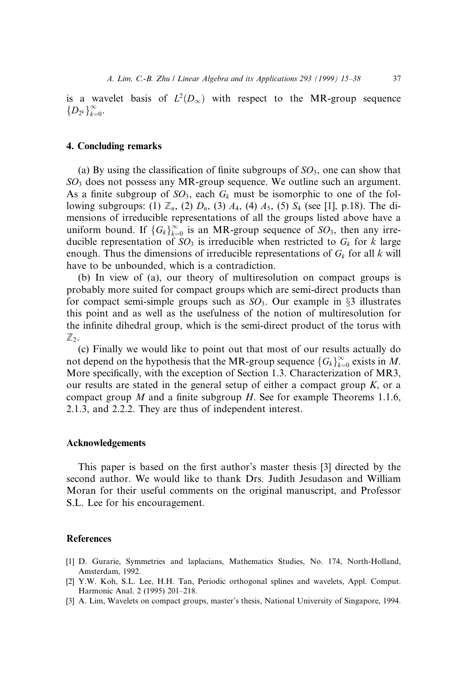is a wavelet basis of  $L^2(D_\infty)$  with respect to the MR-group sequence  $\left\{D_{2^k}\right\}_{k=0}^\infty$ .

## 4. Concluding remarks

(a) By using the classification of finite subgroups of  $SO_3$ , one can show that  $SO<sub>3</sub>$  does not possess any MR-group sequence. We outline such an argument. As a finite subgroup of  $SO_3$ , each  $G_k$  must be isomorphic to one of the following subgroups: (1)  $\mathbb{Z}_n$ , (2)  $D_n$ , (3)  $A_4$ , (4)  $A_5$ , (5)  $S_4$  (see [1], p.18). The dimensions of irreducible representations of all the groups listed above have a uniform bound. If  ${G_k}_{k=0}^{\infty}$  is an MR-group sequence of  $SO_3$ , then any irreducible representation of  $SO_3$  is irreducible when restricted to  $G_k$  for k large enough. Thus the dimensions of irreducible representations of  $G_k$  for all k will have to be unbounded, which is a contradiction.

(b) In view of (a), our theory of multiresolution on compact groups is probably more suited for compact groups which are semi-direct products than for compact semi-simple groups such as  $SO_3$ . Our example in  $\S3$  illustrates this point and as well as the usefulness of the notion of multiresolution for the infinite dihedral group, which is the semi-direct product of the torus with  $\mathbb{Z}_2$ .

(c) Finally we would like to point out that most of our results actually do not depend on the hypothesis that the MR-group sequence  $\{G_k\}_{k=0}^\infty$  exists in M. More specifically, with the exception of Section 1.3. Characterization of MR3, our results are stated in the general setup of either a compact group  $K$ , or a compact group M and a finite subgroup H. See for example Theorems 1.1.6, 2.1.3, and 2.2.2. They are thus of independent interest.

## Acknowledgements

This paper is based on the first author's master thesis [3] directed by the second author. We would like to thank Drs. Judith Jesudason and William Moran for their useful comments on the original manuscript, and Professor S.L. Lee for his encouragement.

#### References

- [1] D. Gurarie, Symmetries and laplacians, Mathematics Studies, No. 174, North-Holland, Amsterdam, 1992.
- [2] Y.W. Koh, S.L. Lee, H.H. Tan, Periodic orthogonal splines and wavelets, Appl. Comput. Harmonic Anal. 2 (1995) 201-218.
- [3] A. Lim, Wavelets on compact groups, master's thesis, National University of Singapore, 1994.